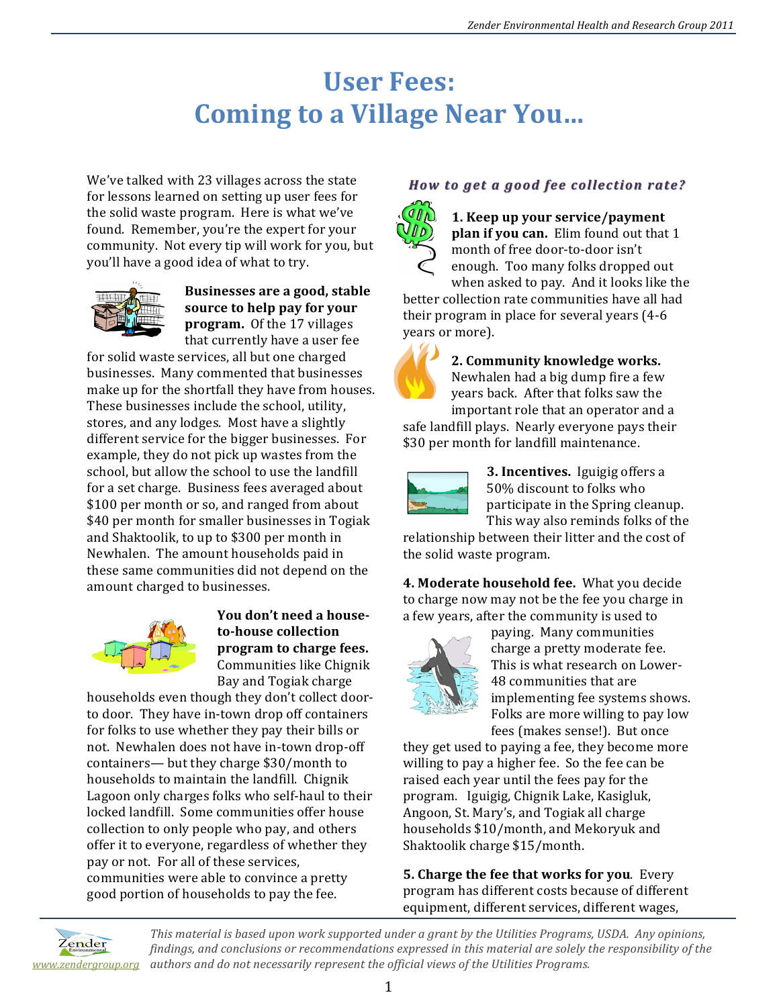# **User Fees: Coming to a Village Near You...**

We've talked with 23 villages across the state for lessons learned on setting up user fees for the solid waste program. Here is what we've found. Remember, you're the expert for your community. Not every tip will work for you, but you'll have a good idea of what to try.



**Businesses are a good, stable** source to help pay for your **program.** Of the 17 villages that currently have a user fee

for solid waste services, all but one charged businesses. Many commented that businesses make up for the shortfall they have from houses. These businesses include the school, utility, stores, and any lodges. Most have a slightly different service for the bigger businesses. For example, they do not pick up wastes from the school, but allow the school to use the landfill for a set charge. Business fees averaged about \$100 per month or so, and ranged from about \$40 per month for smaller businesses in Togiak and Shaktoolik, to up to \$300 per month in Newhalen. The amount households paid in these same communities did not depend on the amount charged to businesses.



You don't need a house**to-house collection program to charge fees.** Communities like Chignik Bay and Togiak charge

households even though they don't collect doorto door. They have in-town drop off containers for folks to use whether they pay their bills or not. Newhalen does not have in-town drop-off containers— $but$  they charge \$30/month to households to maintain the landfill. Chignik Lagoon only charges folks who self-haul to their locked landfill. Some communities offer house collection to only people who pay, and others offer it to everyone, regardless of whether they pay or not. For all of these services, communities were able to convince a pretty good portion of households to pay the fee.

### *How to get a good fee collection rate? How to get a good fee collection rate?*



**1. Keep up your service/payment plan if you can.** Elim found out that 1 month of free door-to-door isn't enough. Too many folks dropped out when asked to pay. And it looks like the

better collection rate communities have all had their program in place for several years (4-6) years or more).



**2. Community knowledge works.** Newhalen had a big dump fire a few years back. After that folks saw the important role that an operator and a

safe landfill plays. Nearly everyone pays their \$30 per month for landfill maintenance.



**3. Incentives.** Iguigig offers a 50% discount to folks who participate in the Spring cleanup. This way also reminds folks of the

relationship between their litter and the cost of the solid waste program.

**4. Moderate household fee.** What you decide to charge now may not be the fee you charge in a few years, after the community is used to



paying. Many communities charge a pretty moderate fee. This is what research on Lower-48 communities that are implementing fee systems shows. Folks are more willing to pay low fees (makes sense!). But once

they get used to paying a fee, they become more willing to pay a higher fee. So the fee can be raised each year until the fees pay for the program. Iguigig, Chignik Lake, Kasigluk, Angoon, St. Mary's, and Togiak all charge households \$10/month, and Mekoryuk and Shaktoolik charge \$15/month.

**5. Charge the fee that works for you.** Every program has different costs because of different equipment, different services, different wages,



This material is based upon work supported under a grant by the Utilities Programs, USDA. Any opinions, *findings, and conclusions or recommendations expressed in this material are solely the responsibility of the authors and do not necessarily represent the official views of the Utilities Programs. www.zendergroup.org*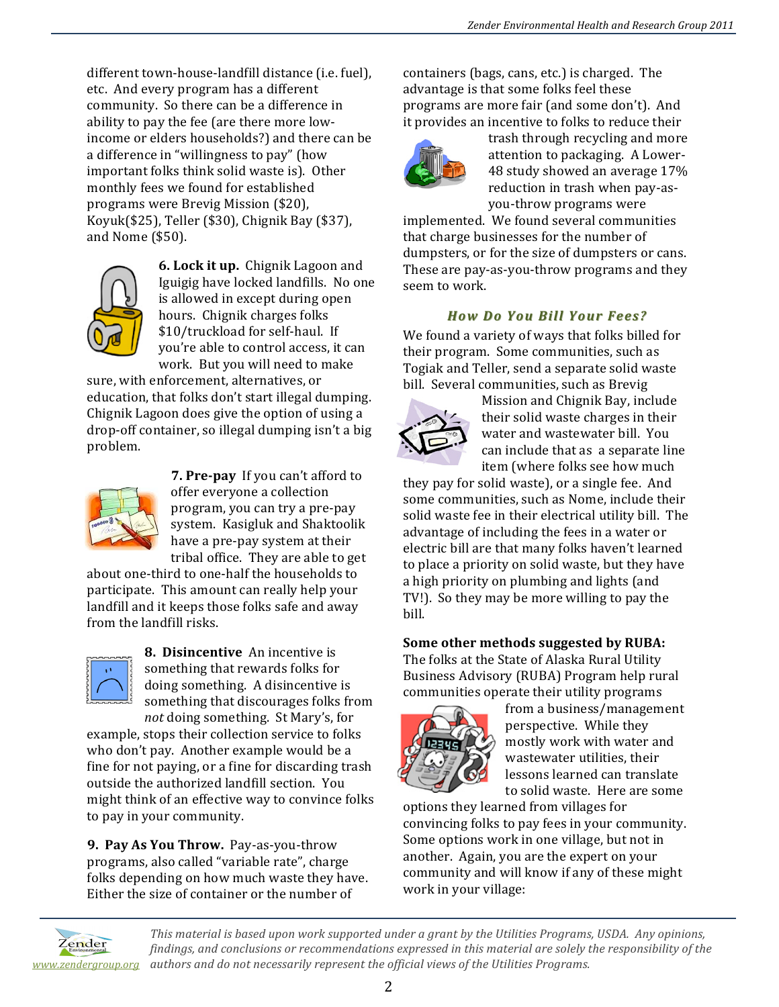different town-house-landfill distance (i.e. fuel), etc. And every program has a different community. So there can be a difference in ability to pay the fee (are there more lowincome or elders households?) and there can be a difference in "willingness to pay" (how important folks think solid waste is). Other monthly fees we found for established programs were Brevig Mission (\$20), Koyuk(\$25), Teller  $(\$30)$ , Chignik Bay  $(\$37)$ , and Nome  $(\$50)$ .



**6. Lock it up.** Chignik Lagoon and Iguigig have locked landfills. No one is allowed in except during open hours. Chignik charges folks \$10/truckload for self-haul. If you're able to control access, it can work. But you will need to make

sure, with enforcement, alternatives, or education, that folks don't start illegal dumping. Chignik Lagoon does give the option of using a drop-off container, so illegal dumping isn't a big problem.



**7. Pre-pay** If you can't afford to offer everyone a collection program, you can try a pre-pay system. Kasigluk and Shaktoolik have a pre-pay system at their tribal office. They are able to get

about one-third to one-half the households to participate. This amount can really help your landfill and it keeps those folks safe and away from the landfill risks.



**8. Disincentive** An incentive is something that rewards folks for doing something. A disincentive is something that discourages folks from *not* doing something. St Mary's, for

example, stops their collection service to folks who don't pay. Another example would be a fine for not paying, or a fine for discarding trash outside the authorized landfill section. You might think of an effective way to convince folks to pay in your community.

**9. Pay As You Throw.** Pay-as-you-throw programs, also called "variable rate", charge folks depending on how much waste they have. Either the size of container or the number of

containers (bags, cans, etc.) is charged. The advantage is that some folks feel these programs are more fair (and some don't). And it provides an incentive to folks to reduce their



trash through recycling and more attention to packaging. A Lower-48 study showed an average 17% reduction in trash when pay-asyou-throw programs were 

implemented. We found several communities that charge businesses for the number of dumpsters, or for the size of dumpsters or cans. These are pay-as-you-throw programs and they seem to work.

### *How Do You Bill Your Fees? How Do You Bill Your Fees?*

We found a variety of ways that folks billed for their program. Some communities, such as Togiak and Teller, send a separate solid waste bill. Several communities, such as Brevig



Mission and Chignik Bay, include their solid waste charges in their water and wastewater bill. You can include that as a separate line item (where folks see how much

they pay for solid waste), or a single fee. And some communities, such as Nome, include their solid waste fee in their electrical utility bill. The advantage of including the fees in a water or electric bill are that many folks haven't learned to place a priority on solid waste, but they have a high priority on plumbing and lights (and TV!). So they may be more willing to pay the bill.

#### Some other methods suggested by RUBA:

The folks at the State of Alaska Rural Utility Business Advisory (RUBA) Program help rural communities operate their utility programs



from a business/management perspective. While they mostly work with water and wastewater utilities, their lessons learned can translate to solid waste. Here are some

options they learned from villages for convincing folks to pay fees in your community. Some options work in one village, but not in another. Again, you are the expert on your community and will know if any of these might work in your village:



This material is based upon work supported under a grant by the Utilities Programs, USDA. Any opinions, *findings, and conclusions or recommendations expressed in this material are solely the responsibility of the authors and do not necessarily represent the official views of the Utilities Programs. www.zendergroup.org*